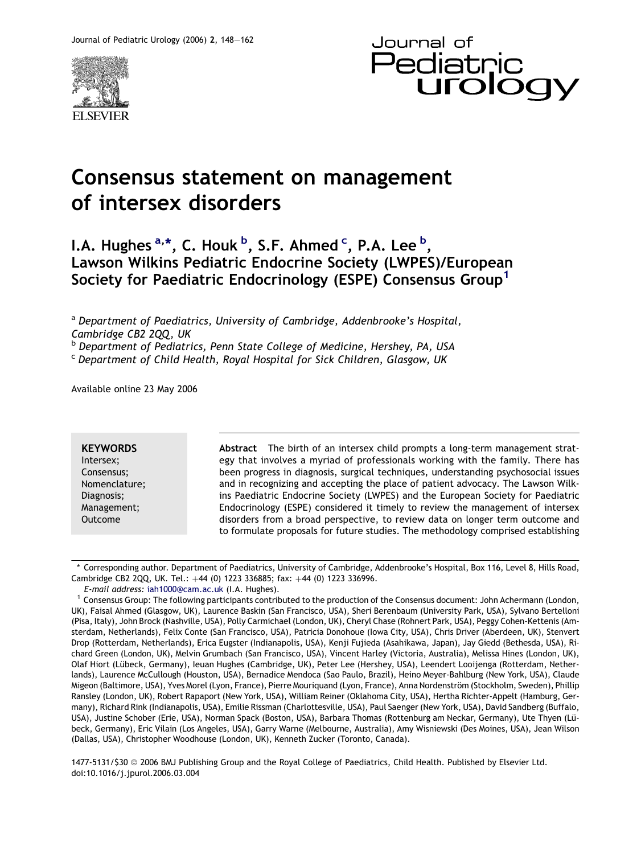



# Consensus statement on management of intersex disorders

# I.A. Hughes <sup>a,\*</sup>, C. Houk <sup>b</sup>, S.F. Ahmed <sup>c</sup>, P.A. Lee <sup>b</sup>, Lawson Wilkins Pediatric Endocrine Society (LWPES)/European Society for Paediatric Endocrinology (ESPE) Consensus Group<sup>1</sup>

a Department of Paediatrics, University of Cambridge, Addenbrooke's Hospital, Cambridge CB2 2QQ , UK

**b** Department of Pediatrics, Penn State College of Medicine, Hershey, PA, USA  $\epsilon$  Department of Child Health, Royal Hospital for Sick Children, Glasgow, UK

Available online 23 May 2006

**KEYWORDS** Intersex; Consensus; Nomenclature; Diagnosis; Management; Outcome

Abstract The birth of an intersex child prompts a long-term management strategy that involves a myriad of professionals working with the family. There has been progress in diagnosis, surgical techniques, understanding psychosocial issues and in recognizing and accepting the place of patient advocacy. The Lawson Wilkins Paediatric Endocrine Society (LWPES) and the European Society for Paediatric Endocrinology (ESPE) considered it timely to review the management of intersex disorders from a broad perspective, to review data on longer term outcome and to formulate proposals for future studies. The methodology comprised establishing

1477-5131/\$30 @ 2006 BMJ Publishing Group and the Royal College of Paediatrics, Child Health. Published by Elsevier Ltd. doi:10.1016/j.jpurol.2006.03.004

<sup>\*</sup> Corresponding author. Department of Paediatrics, University of Cambridge, Addenbrooke's Hospital, Box 116, Level 8, Hills Road, Cambridge CB2 2QQ, UK. Tel.:  $+44$  (0) 1223 336885; fax:  $+44$  (0) 1223 336996.

E-mail address: [iah1000@cam.ac.uk](mailto:iah1000@cam.ac.uk) (I.A. Hughes).<br><sup>1</sup> Consensus Group: The following participants contributed to the production of the Consensus document: John Achermann (London, UK), Faisal Ahmed (Glasgow, UK), Laurence Baskin (San Francisco, USA), Sheri Berenbaum (University Park, USA), Sylvano Bertelloni (Pisa, Italy), John Brock (Nashville, USA), Polly Carmichael (London, UK), Cheryl Chase (Rohnert Park, USA), Peggy Cohen-Kettenis (Amsterdam, Netherlands), Felix Conte (San Francisco, USA), Patricia Donohoue (Iowa City, USA), Chris Driver (Aberdeen, UK), Stenvert Drop (Rotterdam, Netherlands), Erica Eugster (Indianapolis, USA), Kenji Fujieda (Asahikawa, Japan), Jay Giedd (Bethesda, USA), Richard Green (London, UK), Melvin Grumbach (San Francisco, USA), Vincent Harley (Victoria, Australia), Melissa Hines (London, UK), Olaf Hiort (Lübeck, Germany), Ieuan Hughes (Cambridge, UK), Peter Lee (Hershey, USA), Leendert Looijenga (Rotterdam, Netherlands), Laurence McCullough (Houston, USA), Bernadice Mendoca (Sao Paulo, Brazil), Heino Meyer-Bahlburg (New York, USA), Claude Migeon (Baltimore, USA), Yves Morel (Lyon, France), Pierre Mouriquand (Lyon, France), Anna Nordenström (Stockholm, Sweden), Phillip Ransley (London, UK), Robert Rapaport (New York, USA), William Reiner (Oklahoma City, USA), Hertha Richter-Appelt (Hamburg, Germany), Richard Rink (Indianapolis, USA), Emilie Rissman (Charlottesville, USA), Paul Saenger (New York, USA), David Sandberg (Buffalo, USA), Justine Schober (Erie, USA), Norman Spack (Boston, USA), Barbara Thomas (Rottenburg am Neckar, Germany), Ute Thyen (Lübeck, Germany), Eric Vilain (Los Angeles, USA), Garry Warne (Melbourne, Australia), Amy Wisniewski (Des Moines, USA), Jean Wilson (Dallas, USA), Christopher Woodhouse (London, UK), Kenneth Zucker (Toronto, Canada).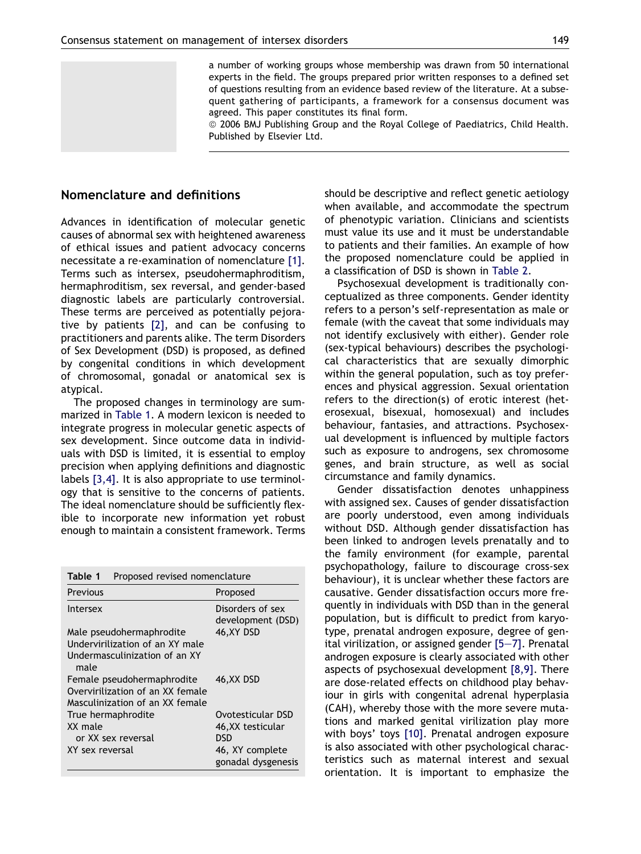a number of working groups whose membership was drawn from 50 international experts in the field. The groups prepared prior written responses to a defined set of questions resulting from an evidence based review of the literature. At a subsequent gathering of participants, a framework for a consensus document was agreed. This paper constitutes its final form.

ª 2006 BMJ Publishing Group and the Royal College of Paediatrics, Child Health. Published by Elsevier Ltd.

# Nomenclature and definitions

Advances in identification of molecular genetic causes of abnormal sex with heightened awareness of ethical issues and patient advocacy concerns necessitate a re-examination of nomenclature [\[1\]](#page-11-0). Terms such as intersex, pseudohermaphroditism, hermaphroditism, sex reversal, and gender-based diagnostic labels are particularly controversial. These terms are perceived as potentially pejorative by patients [\[2\],](#page-11-0) and can be confusing to practitioners and parents alike. The term Disorders of Sex Development (DSD) is proposed, as defined by congenital conditions in which development of chromosomal, gonadal or anatomical sex is atypical.

The proposed changes in terminology are summarized in Table 1. A modern lexicon is needed to integrate progress in molecular genetic aspects of sex development. Since outcome data in individuals with DSD is limited, it is essential to employ precision when applying definitions and diagnostic labels [\[3,4\]](#page-11-0). It is also appropriate to use terminology that is sensitive to the concerns of patients. The ideal nomenclature should be sufficiently flexible to incorporate new information yet robust enough to maintain a consistent framework. Terms

| Table 1<br>Proposed revised nomenclature |                                       |
|------------------------------------------|---------------------------------------|
| Previous                                 | Proposed                              |
| Intersex                                 | Disorders of sex<br>development (DSD) |
| Male pseudohermaphrodite                 | 46, XY DSD                            |
| Undervirilization of an XY male          |                                       |
| Undermasculinization of an XY<br>male    |                                       |
| Female pseudohermaphrodite               | 46, XX DSD                            |
| Overvirilization of an XX female         |                                       |
| Masculinization of an XX female          |                                       |
| True hermaphrodite                       | Ovotesticular DSD                     |
| XX male                                  | 46, XX testicular                     |
| or XX sex reversal                       | DSD                                   |
| XY sex reversal                          | 46, XY complete<br>gonadal dysgenesis |

should be descriptive and reflect genetic aetiology when available, and accommodate the spectrum of phenotypic variation. Clinicians and scientists must value its use and it must be understandable to patients and their families. An example of how the proposed nomenclature could be applied in a classification of DSD is shown in [Table 2.](#page-2-0)

Psychosexual development is traditionally conceptualized as three components. Gender identity refers to a person's self-representation as male or female (with the caveat that some individuals may not identify exclusively with either). Gender role (sex-typical behaviours) describes the psychological characteristics that are sexually dimorphic within the general population, such as toy preferences and physical aggression. Sexual orientation refers to the direction(s) of erotic interest (heterosexual, bisexual, homosexual) and includes behaviour, fantasies, and attractions. Psychosexual development is influenced by multiple factors such as exposure to androgens, sex chromosome genes, and brain structure, as well as social circumstance and family dynamics.

Gender dissatisfaction denotes unhappiness with assigned sex. Causes of gender dissatisfaction are poorly understood, even among individuals without DSD. Although gender dissatisfaction has been linked to androgen levels prenatally and to the family environment (for example, parental psychopathology, failure to discourage cross-sex behaviour), it is unclear whether these factors are causative. Gender dissatisfaction occurs more frequently in individuals with DSD than in the general population, but is difficult to predict from karyotype, prenatal androgen exposure, degree of genital virilization, or assigned gender  $[5-7]$  $[5-7]$ . Prenatal androgen exposure is clearly associated with other aspects of psychosexual development [\[8,9\].](#page-12-0) There are dose-related effects on childhood play behaviour in girls with congenital adrenal hyperplasia (CAH), whereby those with the more severe mutations and marked genital virilization play more with boys' toys [\[10\]](#page-12-0). Prenatal androgen exposure is also associated with other psychological characteristics such as maternal interest and sexual orientation. It is important to emphasize the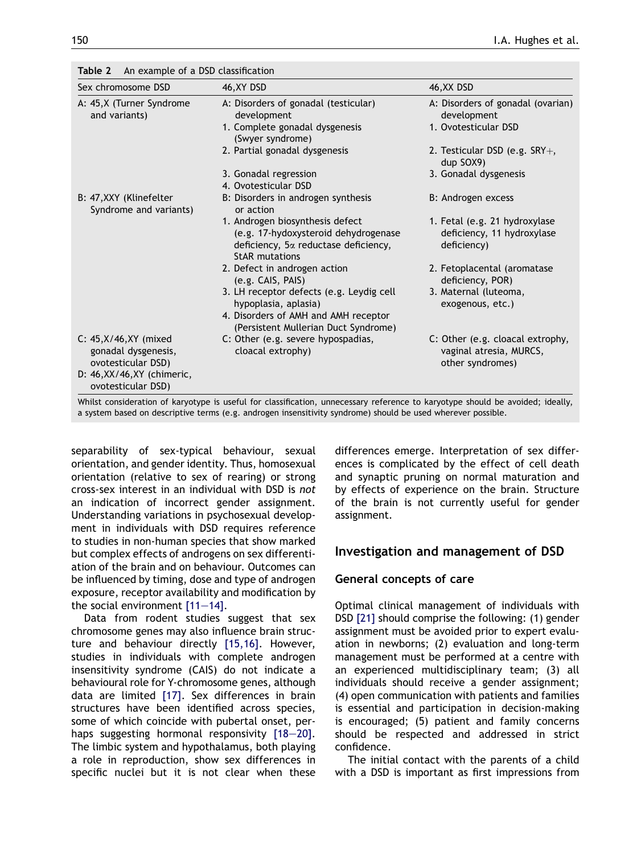| Sex chromosome DSD                                                  | 46, XY DSD                                                                                                                               | 46, XX DSD                                                                      |
|---------------------------------------------------------------------|------------------------------------------------------------------------------------------------------------------------------------------|---------------------------------------------------------------------------------|
| A: 45, X (Turner Syndrome<br>and variants)                          | A: Disorders of gonadal (testicular)<br>development                                                                                      | A: Disorders of gonadal (ovarian)<br>development                                |
|                                                                     | 1. Complete gonadal dysgenesis<br>(Swyer syndrome)                                                                                       | 1. Ovotesticular DSD                                                            |
|                                                                     | 2. Partial gonadal dysgenesis                                                                                                            | 2. Testicular DSD (e.g. $SRY_+,$<br>dup SOX9)                                   |
|                                                                     | 3. Gonadal regression<br>4. Ovotesticular DSD                                                                                            | 3. Gonadal dysgenesis                                                           |
| B: 47, XXY (Klinefelter<br>Syndrome and variants)                   | B: Disorders in androgen synthesis<br>or action                                                                                          | B: Androgen excess                                                              |
|                                                                     | 1. Androgen biosynthesis defect<br>(e.g. 17-hydoxysteroid dehydrogenase<br>deficiency, 5x reductase deficiency,<br><b>StAR mutations</b> | 1. Fetal (e.g. 21 hydroxylase<br>deficiency, 11 hydroxylase<br>deficiency)      |
|                                                                     | 2. Defect in androgen action<br>(e.g. CAIS, PAIS)                                                                                        | 2. Fetoplacental (aromatase<br>deficiency, POR)                                 |
|                                                                     | 3. LH receptor defects (e.g. Leydig cell<br>hypoplasia, aplasia)                                                                         | 3. Maternal (luteoma,<br>exogenous, etc.)                                       |
|                                                                     | 4. Disorders of AMH and AMH receptor<br>(Persistent Mullerian Duct Syndrome)                                                             |                                                                                 |
| C: 45, X/46, XY (mixed<br>gonadal dysgenesis,<br>ovotesticular DSD) | C: Other (e.g. severe hypospadias,<br>cloacal extrophy)                                                                                  | C: Other (e.g. cloacal extrophy,<br>vaginal atresia, MURCS,<br>other syndromes) |
| D: 46, XX/46, XY (chimeric,<br>ovotesticular DSD)                   |                                                                                                                                          |                                                                                 |

<span id="page-2-0"></span>Table 2 An example of a DSD classification

Whilst consideration of karyotype is useful for classification, unnecessary reference to karyotype should be avoided; ideally, a system based on descriptive terms (e.g. androgen insensitivity syndrome) should be used wherever possible.

separability of sex-typical behaviour, sexual orientation, and gender identity. Thus, homosexual orientation (relative to sex of rearing) or strong cross-sex interest in an individual with DSD is not an indication of incorrect gender assignment. Understanding variations in psychosexual development in individuals with DSD requires reference to studies in non-human species that show marked but complex effects of androgens on sex differentiation of the brain and on behaviour. Outcomes can be influenced by timing, dose and type of androgen exposure, receptor availability and modification by the social environment  $[11-14]$  $[11-14]$  $[11-14]$ .

Data from rodent studies suggest that sex chromosome genes may also influence brain structure and behaviour directly [\[15,16\].](#page-12-0) However, studies in individuals with complete androgen insensitivity syndrome (CAIS) do not indicate a behavioural role for Y-chromosome genes, although data are limited [\[17\].](#page-12-0) Sex differences in brain structures have been identified across species, some of which coincide with pubertal onset, perhaps suggesting hormonal responsivity  $[18-20]$  $[18-20]$ . The limbic system and hypothalamus, both playing a role in reproduction, show sex differences in specific nuclei but it is not clear when these

differences emerge. Interpretation of sex differences is complicated by the effect of cell death and synaptic pruning on normal maturation and by effects of experience on the brain. Structure of the brain is not currently useful for gender assignment.

# Investigation and management of DSD

#### General concepts of care

Optimal clinical management of individuals with DSD [\[21\]](#page-12-0) should comprise the following: (1) gender assignment must be avoided prior to expert evaluation in newborns; (2) evaluation and long-term management must be performed at a centre with an experienced multidisciplinary team; (3) all individuals should receive a gender assignment; (4) open communication with patients and families is essential and participation in decision-making is encouraged; (5) patient and family concerns should be respected and addressed in strict confidence.

The initial contact with the parents of a child with a DSD is important as first impressions from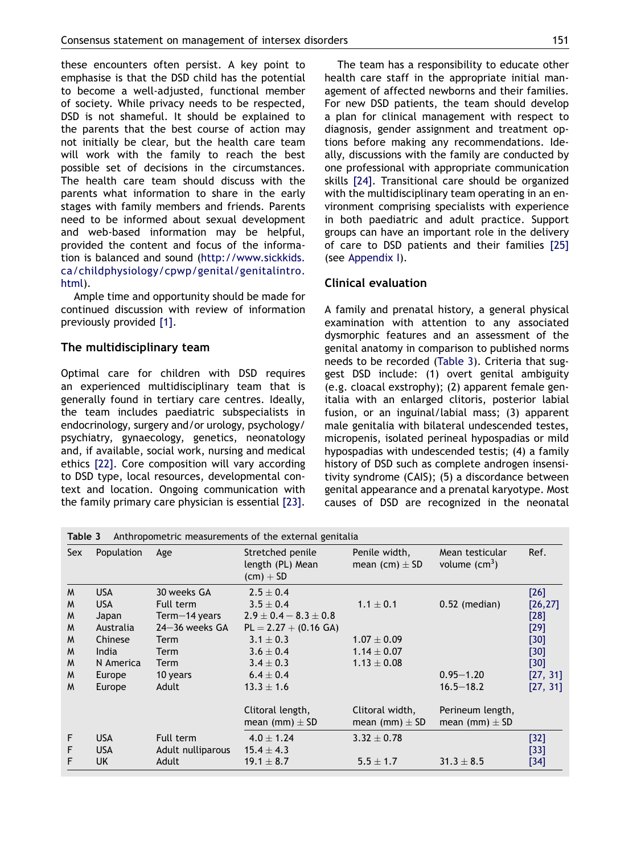these encounters often persist. A key point to emphasise is that the DSD child has the potential to become a well-adjusted, functional member of society. While privacy needs to be respected, DSD is not shameful. It should be explained to the parents that the best course of action may not initially be clear, but the health care team will work with the family to reach the best possible set of decisions in the circumstances. The health care team should discuss with the parents what information to share in the early stages with family members and friends. Parents need to be informed about sexual development and web-based information may be helpful, provided the content and focus of the information is balanced and sound ([http://www.sickkids.](http://www.sickkids.ca/childphysiology/cpwp/genital/genitalintro.html) [ca/childphysiology/cpwp/genital/genitalintro.](http://www.sickkids.ca/childphysiology/cpwp/genital/genitalintro.html) [html](http://www.sickkids.ca/childphysiology/cpwp/genital/genitalintro.html)).

Ample time and opportunity should be made for continued discussion with review of information previously provided [\[1\].](#page-11-0)

#### The multidisciplinary team

Optimal care for children with DSD requires an experienced multidisciplinary team that is generally found in tertiary care centres. Ideally, the team includes paediatric subspecialists in endocrinology, surgery and/or urology, psychology/ psychiatry, gynaecology, genetics, neonatology and, if available, social work, nursing and medical ethics [\[22\]](#page-12-0). Core composition will vary according to DSD type, local resources, developmental context and location. Ongoing communication with the family primary care physician is essential [\[23\]](#page-12-0).

The team has a responsibility to educate other health care staff in the appropriate initial management of affected newborns and their families. For new DSD patients, the team should develop a plan for clinical management with respect to diagnosis, gender assignment and treatment options before making any recommendations. Ideally, discussions with the family are conducted by one professional with appropriate communication skills [\[24\].](#page-12-0) Transitional care should be organized with the multidisciplinary team operating in an environment comprising specialists with experience in both paediatric and adult practice. Support groups can have an important role in the delivery of care to DSD patients and their families [\[25\]](#page-12-0) (see Appendix I).

#### Clinical evaluation

A family and prenatal history, a general physical examination with attention to any associated dysmorphic features and an assessment of the genital anatomy in comparison to published norms needs to be recorded (Table 3). Criteria that suggest DSD include: (1) overt genital ambiguity (e.g. cloacal exstrophy); (2) apparent female genitalia with an enlarged clitoris, posterior labial fusion, or an inguinal/labial mass; (3) apparent male genitalia with bilateral undescended testes, micropenis, isolated perineal hypospadias or mild hypospadias with undescended testis; (4) a family history of DSD such as complete androgen insensitivity syndrome (CAIS); (5) a discordance between genital appearance and a prenatal karyotype. Most causes of DSD are recognized in the neonatal

| Table 3                                   |                                                                                                     |                                                                                                                                     | Anthropometric measurements of the external genitalia                                                                                                                              |                                                                      |                                                   |                                                                                            |
|-------------------------------------------|-----------------------------------------------------------------------------------------------------|-------------------------------------------------------------------------------------------------------------------------------------|------------------------------------------------------------------------------------------------------------------------------------------------------------------------------------|----------------------------------------------------------------------|---------------------------------------------------|--------------------------------------------------------------------------------------------|
| Sex                                       | Population                                                                                          | Age                                                                                                                                 | Stretched penile<br>length (PL) Mean<br>$(cm) + SD$                                                                                                                                | Penile width,<br>mean (cm) $\pm$ SD                                  | Mean testicular<br>volume $(cm^3)$                | Ref.                                                                                       |
| M<br>M<br>M<br>M<br>M<br>M<br>M<br>M<br>M | <b>USA</b><br><b>USA</b><br>Japan<br>Australia<br>Chinese<br>India<br>N America<br>Europe<br>Europe | 30 weeks GA<br>Full term<br>Term-14 years<br>$24 - 36$ weeks $GA$<br><b>Term</b><br><b>Term</b><br><b>Term</b><br>10 years<br>Adult | $2.5 \pm 0.4$<br>$3.5 \pm 0.4$<br>$2.9 + 0.4 - 8.3 + 0.8$<br>$PL = 2.27 + (0.16 \text{ GA})$<br>$3.1 \pm 0.3$<br>$3.6 \pm 0.4$<br>$3.4 \pm 0.3$<br>$6.4 \pm 0.4$<br>$13.3 \pm 1.6$ | $1.1 \pm 0.1$<br>$1.07 + 0.09$<br>$1.14 \pm 0.07$<br>$1.13 \pm 0.08$ | $0.52$ (median)<br>$0.95 - 1.20$<br>$16.5 - 18.2$ | $[26]$<br>[26, 27]<br>$[28]$<br>$[29]$<br>$[30]$<br>[30]<br>$[30]$<br>[27, 31]<br>[27, 31] |
|                                           |                                                                                                     |                                                                                                                                     | Clitoral length,<br>mean (mm) $\pm$ SD                                                                                                                                             | Clitoral width,<br>mean (mm) $\pm$ SD                                | Perineum length,<br>mean (mm) $\pm$ SD            |                                                                                            |
| F<br>F<br>F                               | <b>USA</b><br><b>USA</b><br>UK.                                                                     | Full term<br>Adult nulliparous<br>Adult                                                                                             | $4.0 \pm 1.24$<br>$15.4 \pm 4.3$<br>$19.1 \pm 8.7$                                                                                                                                 | $3.32 \pm 0.78$<br>$5.5 \pm 1.7$                                     | $31.3 \pm 8.5$                                    | $[32]$<br>$[33]$<br>[34]                                                                   |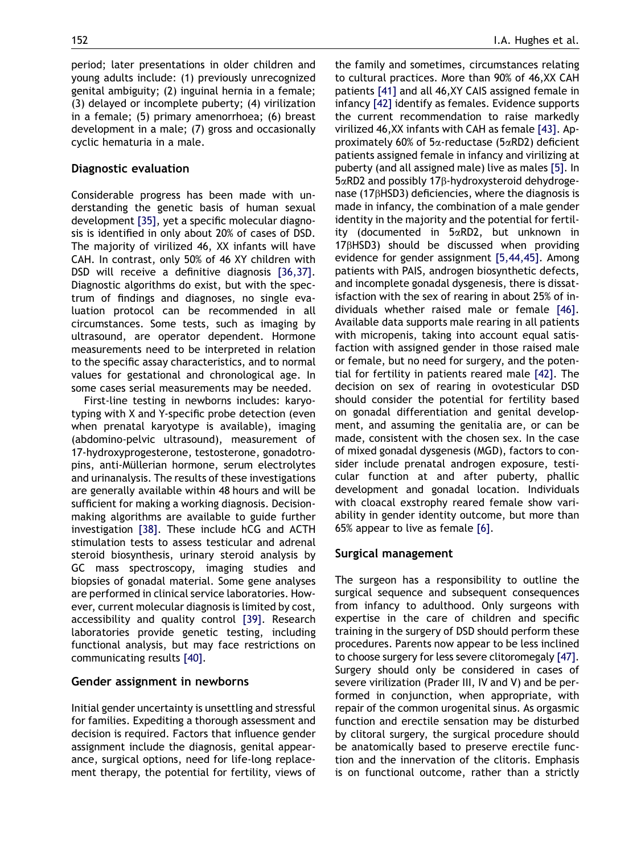period; later presentations in older children and young adults include: (1) previously unrecognized genital ambiguity; (2) inguinal hernia in a female; (3) delayed or incomplete puberty; (4) virilization in a female; (5) primary amenorrhoea; (6) breast development in a male; (7) gross and occasionally cyclic hematuria in a male.

# Diagnostic evaluation

Considerable progress has been made with understanding the genetic basis of human sexual development [\[35\]](#page-12-0), yet a specific molecular diagnosis is identified in only about 20% of cases of DSD. The majority of virilized 46, XX infants will have CAH. In contrast, only 50% of 46 XY children with DSD will receive a definitive diagnosis [\[36,37\].](#page-12-0) Diagnostic algorithms do exist, but with the spectrum of findings and diagnoses, no single evaluation protocol can be recommended in all circumstances. Some tests, such as imaging by ultrasound, are operator dependent. Hormone measurements need to be interpreted in relation to the specific assay characteristics, and to normal values for gestational and chronological age. In some cases serial measurements may be needed.

First-line testing in newborns includes: karyotyping with X and Y-specific probe detection (even when prenatal karyotype is available), imaging (abdomino-pelvic ultrasound), measurement of 17-hydroxyprogesterone, testosterone, gonadotropins, anti-Müllerian hormone, serum electrolytes and urinanalysis. The results of these investigations are generally available within 48 hours and will be sufficient for making a working diagnosis. Decisionmaking algorithms are available to guide further investigation [\[38\]](#page-12-0). These include hCG and ACTH stimulation tests to assess testicular and adrenal steroid biosynthesis, urinary steroid analysis by GC mass spectroscopy, imaging studies and biopsies of gonadal material. Some gene analyses are performed in clinical service laboratories. However, current molecular diagnosis is limited by cost, accessibility and quality control [\[39\]](#page-12-0). Research laboratories provide genetic testing, including functional analysis, but may face restrictions on communicating results [\[40\]](#page-12-0).

# Gender assignment in newborns

Initial gender uncertainty is unsettling and stressful for families. Expediting a thorough assessment and decision is required. Factors that influence gender assignment include the diagnosis, genital appearance, surgical options, need for life-long replacement therapy, the potential for fertility, views of the family and sometimes, circumstances relating to cultural practices. More than 90% of 46,XX CAH patients [\[41\]](#page-12-0) and all 46,XY CAIS assigned female in infancy [\[42\]](#page-12-0) identify as females. Evidence supports the current recommendation to raise markedly virilized 46,XX infants with CAH as female [\[43\]](#page-12-0). Approximately 60% of  $5\alpha$ -reductase ( $5\alpha$ RD2) deficient patients assigned female in infancy and virilizing at puberty (and all assigned male) live as males [\[5\]](#page-12-0). In 5aRD2 and possibly 17b-hydroxysteroid dehydrogenase (17 $\beta$ HSD3) deficiencies, where the diagnosis is made in infancy, the combination of a male gender identity in the majority and the potential for fertility (documented in 5aRD2, but unknown in 17 $\beta$ HSD3) should be discussed when providing evidence for gender assignment [\[5,44,45\]](#page-12-0). Among patients with PAIS, androgen biosynthetic defects, and incomplete gonadal dysgenesis, there is dissatisfaction with the sex of rearing in about 25% of individuals whether raised male or female [\[46\].](#page-13-0) Available data supports male rearing in all patients with micropenis, taking into account equal satisfaction with assigned gender in those raised male or female, but no need for surgery, and the potential for fertility in patients reared male [\[42\]](#page-12-0). The decision on sex of rearing in ovotesticular DSD should consider the potential for fertility based on gonadal differentiation and genital development, and assuming the genitalia are, or can be made, consistent with the chosen sex. In the case of mixed gonadal dysgenesis (MGD), factors to consider include prenatal androgen exposure, testicular function at and after puberty, phallic development and gonadal location. Individuals with cloacal exstrophy reared female show variability in gender identity outcome, but more than 65% appear to live as female [\[6\].](#page-12-0)

# Surgical management

The surgeon has a responsibility to outline the surgical sequence and subsequent consequences from infancy to adulthood. Only surgeons with expertise in the care of children and specific training in the surgery of DSD should perform these procedures. Parents now appear to be less inclined to choose surgery for less severe clitoromegaly [\[47\].](#page-13-0) Surgery should only be considered in cases of severe virilization (Prader III, IV and V) and be performed in conjunction, when appropriate, with repair of the common urogenital sinus. As orgasmic function and erectile sensation may be disturbed by clitoral surgery, the surgical procedure should be anatomically based to preserve erectile function and the innervation of the clitoris. Emphasis is on functional outcome, rather than a strictly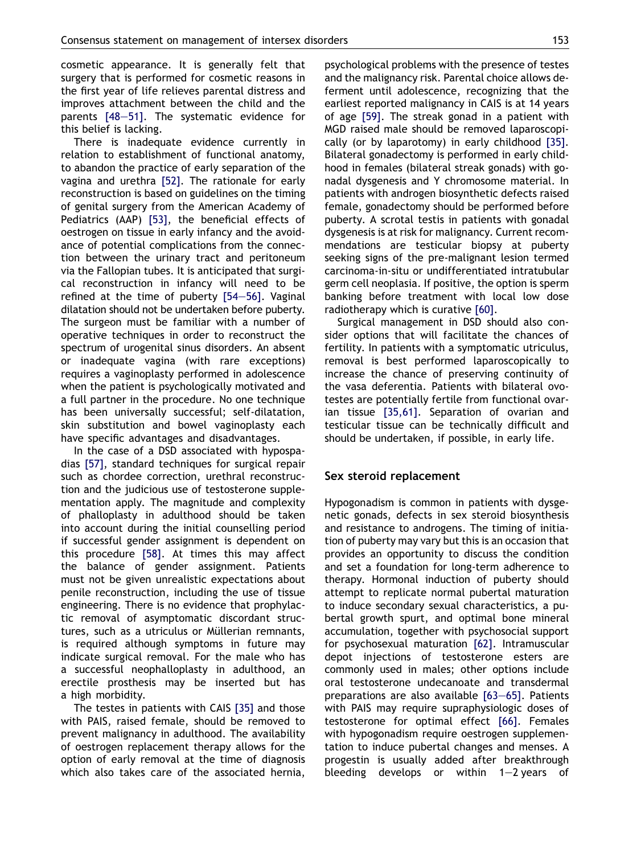cosmetic appearance. It is generally felt that surgery that is performed for cosmetic reasons in the first year of life relieves parental distress and improves attachment between the child and the parents  $[48-51]$  $[48-51]$  $[48-51]$ . The systematic evidence for this belief is lacking.

There is inadequate evidence currently in relation to establishment of functional anatomy, to abandon the practice of early separation of the vagina and urethra [\[52\].](#page-13-0) The rationale for early reconstruction is based on guidelines on the timing of genital surgery from the American Academy of Pediatrics (AAP) [\[53\],](#page-13-0) the beneficial effects of oestrogen on tissue in early infancy and the avoidance of potential complications from the connection between the urinary tract and peritoneum via the Fallopian tubes. It is anticipated that surgical reconstruction in infancy will need to be refined at the time of puberty  $[54-56]$  $[54-56]$ . Vaginal dilatation should not be undertaken before puberty. The surgeon must be familiar with a number of operative techniques in order to reconstruct the spectrum of urogenital sinus disorders. An absent or inadequate vagina (with rare exceptions) requires a vaginoplasty performed in adolescence when the patient is psychologically motivated and a full partner in the procedure. No one technique has been universally successful; self-dilatation, skin substitution and bowel vaginoplasty each have specific advantages and disadvantages.

In the case of a DSD associated with hypospadias [\[57\]](#page-13-0), standard techniques for surgical repair such as chordee correction, urethral reconstruction and the judicious use of testosterone supplementation apply. The magnitude and complexity of phalloplasty in adulthood should be taken into account during the initial counselling period if successful gender assignment is dependent on this procedure [\[58\].](#page-13-0) At times this may affect the balance of gender assignment. Patients must not be given unrealistic expectations about penile reconstruction, including the use of tissue engineering. There is no evidence that prophylactic removal of asymptomatic discordant structures, such as a utriculus or Müllerian remnants, is required although symptoms in future may indicate surgical removal. For the male who has a successful neophalloplasty in adulthood, an erectile prosthesis may be inserted but has a high morbidity.

The testes in patients with CAIS [\[35\]](#page-12-0) and those with PAIS, raised female, should be removed to prevent malignancy in adulthood. The availability of oestrogen replacement therapy allows for the option of early removal at the time of diagnosis which also takes care of the associated hernia, psychological problems with the presence of testes and the malignancy risk. Parental choice allows deferment until adolescence, recognizing that the earliest reported malignancy in CAIS is at 14 years of age [\[59\]](#page-13-0). The streak gonad in a patient with MGD raised male should be removed laparoscopically (or by laparotomy) in early childhood [\[35\]](#page-12-0). Bilateral gonadectomy is performed in early childhood in females (bilateral streak gonads) with gonadal dysgenesis and Y chromosome material. In patients with androgen biosynthetic defects raised female, gonadectomy should be performed before puberty. A scrotal testis in patients with gonadal dysgenesis is at risk for malignancy. Current recommendations are testicular biopsy at puberty seeking signs of the pre-malignant lesion termed carcinoma-in-situ or undifferentiated intratubular germ cell neoplasia. If positive, the option is sperm banking before treatment with local low dose radiotherapy which is curative [\[60\]](#page-13-0).

Surgical management in DSD should also consider options that will facilitate the chances of fertility. In patients with a symptomatic utriculus, removal is best performed laparoscopically to increase the chance of preserving continuity of the vasa deferentia. Patients with bilateral ovotestes are potentially fertile from functional ovarian tissue [\[35,61\]](#page-12-0). Separation of ovarian and testicular tissue can be technically difficult and should be undertaken, if possible, in early life.

#### Sex steroid replacement

Hypogonadism is common in patients with dysgenetic gonads, defects in sex steroid biosynthesis and resistance to androgens. The timing of initiation of puberty may vary but this is an occasion that provides an opportunity to discuss the condition and set a foundation for long-term adherence to therapy. Hormonal induction of puberty should attempt to replicate normal pubertal maturation to induce secondary sexual characteristics, a pubertal growth spurt, and optimal bone mineral accumulation, together with psychosocial support for psychosexual maturation [\[62\].](#page-13-0) Intramuscular depot injections of testosterone esters are commonly used in males; other options include oral testosterone undecanoate and transdermal preparations are also available  $[63-65]$  $[63-65]$  $[63-65]$ . Patients with PAIS may require supraphysiologic doses of testosterone for optimal effect [\[66\].](#page-13-0) Females with hypogonadism require oestrogen supplementation to induce pubertal changes and menses. A progestin is usually added after breakthrough bleeding develops or within  $1-2$  years of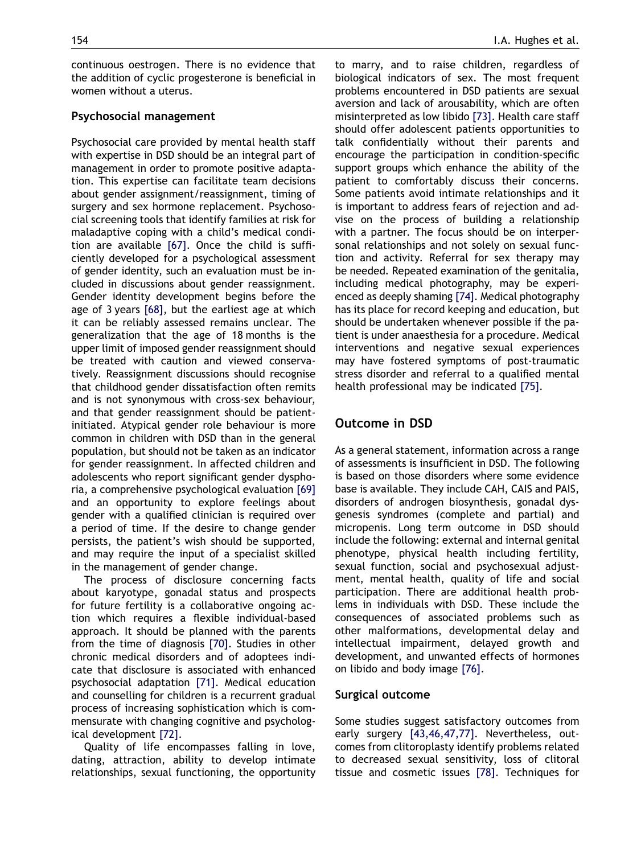continuous oestrogen. There is no evidence that the addition of cyclic progesterone is beneficial in women without a uterus.

# Psychosocial management

Psychosocial care provided by mental health staff with expertise in DSD should be an integral part of management in order to promote positive adaptation. This expertise can facilitate team decisions about gender assignment/reassignment, timing of surgery and sex hormone replacement. Psychosocial screening tools that identify families at risk for maladaptive coping with a child's medical condition are available [\[67\]](#page-13-0). Once the child is sufficiently developed for a psychological assessment of gender identity, such an evaluation must be included in discussions about gender reassignment. Gender identity development begins before the age of 3 years [\[68\],](#page-13-0) but the earliest age at which it can be reliably assessed remains unclear. The generalization that the age of 18 months is the upper limit of imposed gender reassignment should be treated with caution and viewed conservatively. Reassignment discussions should recognise that childhood gender dissatisfaction often remits and is not synonymous with cross-sex behaviour, and that gender reassignment should be patientinitiated. Atypical gender role behaviour is more common in children with DSD than in the general population, but should not be taken as an indicator for gender reassignment. In affected children and adolescents who report significant gender dysphoria, a comprehensive psychological evaluation [\[69\]](#page-13-0) and an opportunity to explore feelings about gender with a qualified clinician is required over a period of time. If the desire to change gender persists, the patient's wish should be supported, and may require the input of a specialist skilled in the management of gender change.

The process of disclosure concerning facts about karyotype, gonadal status and prospects for future fertility is a collaborative ongoing action which requires a flexible individual-based approach. It should be planned with the parents from the time of diagnosis [\[70\]](#page-13-0). Studies in other chronic medical disorders and of adoptees indicate that disclosure is associated with enhanced psychosocial adaptation [\[71\].](#page-13-0) Medical education and counselling for children is a recurrent gradual process of increasing sophistication which is commensurate with changing cognitive and psychological development [\[72\].](#page-13-0)

Quality of life encompasses falling in love, dating, attraction, ability to develop intimate relationships, sexual functioning, the opportunity to marry, and to raise children, regardless of biological indicators of sex. The most frequent problems encountered in DSD patients are sexual aversion and lack of arousability, which are often misinterpreted as low libido [\[73\].](#page-13-0) Health care staff should offer adolescent patients opportunities to talk confidentially without their parents and encourage the participation in condition-specific support groups which enhance the ability of the patient to comfortably discuss their concerns. Some patients avoid intimate relationships and it is important to address fears of rejection and advise on the process of building a relationship with a partner. The focus should be on interpersonal relationships and not solely on sexual function and activity. Referral for sex therapy may be needed. Repeated examination of the genitalia, including medical photography, may be experienced as deeply shaming [\[74\].](#page-13-0) Medical photography has its place for record keeping and education, but should be undertaken whenever possible if the patient is under anaesthesia for a procedure. Medical interventions and negative sexual experiences may have fostered symptoms of post-traumatic stress disorder and referral to a qualified mental health professional may be indicated [\[75\]](#page-13-0).

# Outcome in DSD

As a general statement, information across a range of assessments is insufficient in DSD. The following is based on those disorders where some evidence base is available. They include CAH, CAIS and PAIS, disorders of androgen biosynthesis, gonadal dysgenesis syndromes (complete and partial) and micropenis. Long term outcome in DSD should include the following: external and internal genital phenotype, physical health including fertility, sexual function, social and psychosexual adjustment, mental health, quality of life and social participation. There are additional health problems in individuals with DSD. These include the consequences of associated problems such as other malformations, developmental delay and intellectual impairment, delayed growth and development, and unwanted effects of hormones on libido and body image [\[76\].](#page-13-0)

# Surgical outcome

Some studies suggest satisfactory outcomes from early surgery [\[43,46,47,77\].](#page-12-0) Nevertheless, outcomes from clitoroplasty identify problems related to decreased sexual sensitivity, loss of clitoral tissue and cosmetic issues [\[78\]](#page-13-0). Techniques for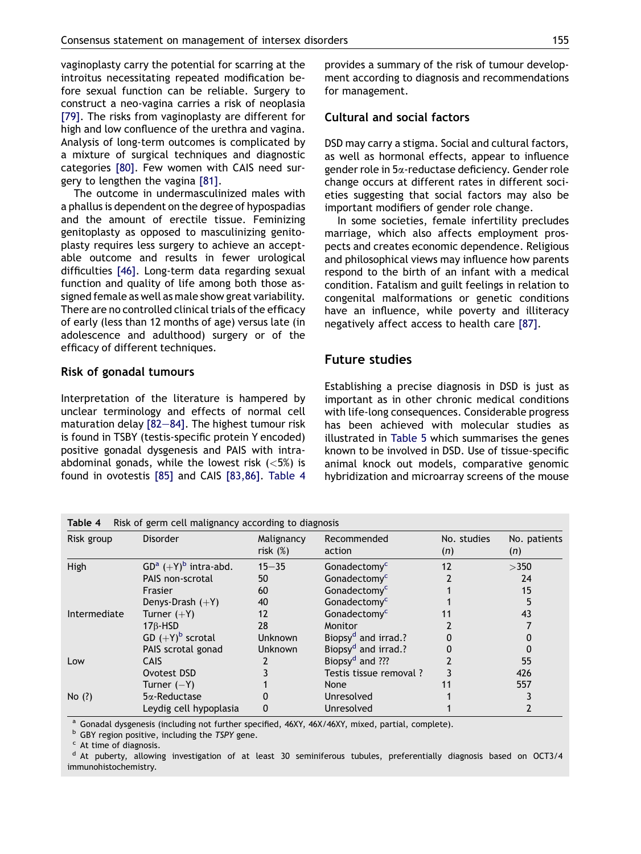vaginoplasty carry the potential for scarring at the introitus necessitating repeated modification before sexual function can be reliable. Surgery to construct a neo-vagina carries a risk of neoplasia [\[79\]](#page-13-0). The risks from vaginoplasty are different for high and low confluence of the urethra and vagina. Analysis of long-term outcomes is complicated by a mixture of surgical techniques and diagnostic categories [\[80\]](#page-13-0). Few women with CAIS need surgery to lengthen the vagina [\[81\].](#page-13-0)

The outcome in undermasculinized males with a phallus is dependent on the degree of hypospadias and the amount of erectile tissue. Feminizing genitoplasty as opposed to masculinizing genitoplasty requires less surgery to achieve an acceptable outcome and results in fewer urological difficulties [\[46\]](#page-13-0). Long-term data regarding sexual function and quality of life among both those assigned female as well as male show great variability. There are no controlled clinical trials of the efficacy of early (less than 12 months of age) versus late (in adolescence and adulthood) surgery or of the efficacy of different techniques.

# Risk of gonadal tumours

Interpretation of the literature is hampered by unclear terminology and effects of normal cell maturation delay  $[82-84]$  $[82-84]$ . The highest tumour risk is found in TSBY (testis-specific protein Y encoded) positive gonadal dysgenesis and PAIS with intraabdominal gonads, while the lowest risk  $(<5\%)$  is found in ovotestis [\[85\]](#page-14-0) and CAIS [\[83,86\].](#page-13-0) Table 4 provides a summary of the risk of tumour development according to diagnosis and recommendations for management.

# Cultural and social factors

DSD may carry a stigma. Social and cultural factors, as well as hormonal effects, appear to influence gender role in 5a-reductase deficiency. Gender role change occurs at different rates in different societies suggesting that social factors may also be important modifiers of gender role change.

In some societies, female infertility precludes marriage, which also affects employment prospects and creates economic dependence. Religious and philosophical views may influence how parents respond to the birth of an infant with a medical condition. Fatalism and guilt feelings in relation to congenital malformations or genetic conditions have an influence, while poverty and illiteracy negatively affect access to health care [\[87\].](#page-14-0)

# Future studies

Establishing a precise diagnosis in DSD is just as important as in other chronic medical conditions with life-long consequences. Considerable progress has been achieved with molecular studies as illustrated in [Table 5](#page-8-0) which summarises the genes known to be involved in DSD. Use of tissue-specific animal knock out models, comparative genomic hybridization and microarray screens of the mouse

| Table 4      | Risk of germ cell malignancy according to diagnosis |                          |                                 |                    |                     |
|--------------|-----------------------------------------------------|--------------------------|---------------------------------|--------------------|---------------------|
| Risk group   | <b>Disorder</b>                                     | Malignancy<br>risk $(%)$ | Recommended<br>action           | No. studies<br>(n) | No. patients<br>(n) |
| High         | $GD^a$ (+Y) <sup>b</sup> intra-abd.                 | $15 - 35$                | Gonadectomy <sup>c</sup>        | 12                 | >350                |
|              | PAIS non-scrotal                                    | 50                       | Gonadectomy <sup>c</sup>        |                    | 24                  |
|              | Frasier                                             | 60                       | Gonadectomy <sup>c</sup>        |                    | 15                  |
|              | Denys-Drash $(+Y)$                                  | 40                       | Gonadectomy <sup>c</sup>        |                    |                     |
| Intermediate | Turner $(+Y)$                                       | 12                       | Gonadectomy <sup>c</sup>        |                    | 43                  |
|              | $176 - HSD$                                         | 28                       | Monitor                         |                    |                     |
|              | GD $(+Y)^b$ scrotal                                 | <b>Unknown</b>           | Biopsy <sup>d</sup> and irrad.? |                    |                     |
|              | PAIS scrotal gonad                                  | Unknown                  | Biopsy <sup>d</sup> and irrad.? |                    |                     |
| Low          | <b>CAIS</b>                                         |                          | Biopsy <sup>d</sup> and ???     |                    | 55                  |
|              | Ovotest DSD                                         |                          | Testis tissue removal ?         |                    | 426                 |
|              | Turner $(-Y)$                                       |                          | None                            |                    | 557                 |
| No(?)        | $5\alpha$ -Reductase                                |                          | Unresolved                      |                    |                     |
|              | Leydig cell hypoplasia                              | 0                        | Unresolved                      |                    |                     |

<sup>a</sup> Gonadal dysgenesis (including not further specified, 46XY, 46X/46XY, mixed, partial, complete).<br><sup>b</sup> GBY region positive, including the TSPY gene.<br><sup>c</sup> At time of diagnosis.

 $d$  At puberty, allowing investigation of at least 30 seminiferous tubules, preferentially diagnosis based on OCT3/4 immunohistochemistry.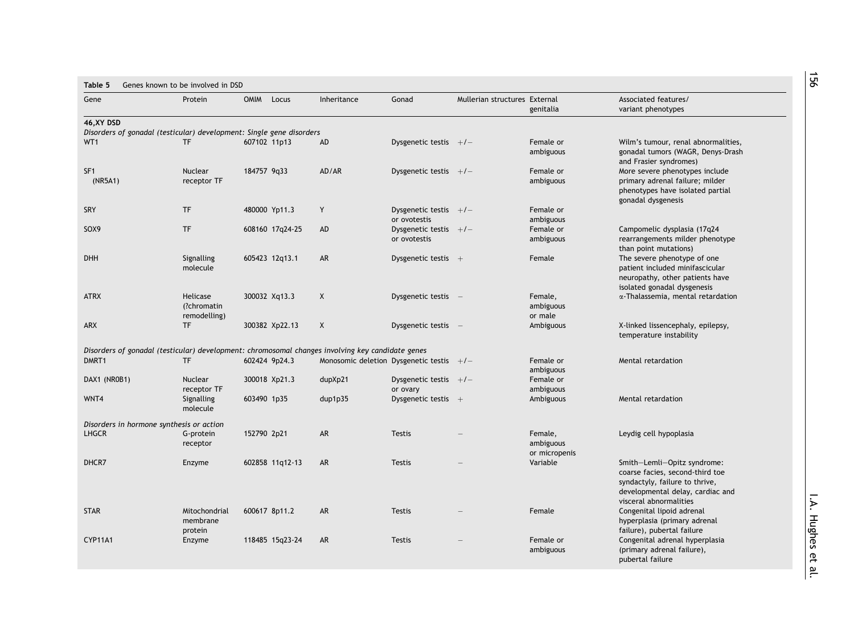<span id="page-8-0"></span>

| Gene            | Protein                                                                                          | <b>OMIM</b>  | Locus           | Inheritance                                | Gonad                   | Mullerian structures External |               | Associated features/                                           |
|-----------------|--------------------------------------------------------------------------------------------------|--------------|-----------------|--------------------------------------------|-------------------------|-------------------------------|---------------|----------------------------------------------------------------|
|                 |                                                                                                  |              |                 |                                            |                         |                               | genitalia     | variant phenotypes                                             |
| 46, XY DSD      |                                                                                                  |              |                 |                                            |                         |                               |               |                                                                |
|                 | Disorders of gonadal (testicular) development: Single gene disorders                             |              |                 |                                            |                         |                               |               |                                                                |
| WT <sub>1</sub> | <b>TF</b>                                                                                        | 607102 11p13 |                 | AD                                         | Dysgenetic testis $+/-$ |                               | Female or     | Wilm's tumour, renal abnormalities,                            |
|                 |                                                                                                  |              |                 |                                            |                         |                               | ambiguous     | gonadal tumors (WAGR, Denys-Drash                              |
|                 |                                                                                                  |              |                 |                                            |                         |                               |               | and Frasier syndromes)                                         |
| SF <sub>1</sub> | Nuclear                                                                                          | 184757 9q33  |                 | AD/AR                                      | Dysgenetic testis $+/-$ |                               | Female or     | More severe phenotypes include                                 |
| (NR5A1)         | receptor TF                                                                                      |              |                 |                                            |                         |                               | ambiguous     | primary adrenal failure; milder                                |
|                 |                                                                                                  |              |                 |                                            |                         |                               |               | phenotypes have isolated partial                               |
|                 |                                                                                                  |              |                 |                                            |                         |                               |               | gonadal dysgenesis                                             |
| <b>SRY</b>      | <b>TF</b>                                                                                        |              | 480000 Yp11.3   | Y                                          | Dysgenetic testis $+/-$ |                               | Female or     |                                                                |
|                 |                                                                                                  |              |                 |                                            | or ovotestis            |                               | ambiguous     |                                                                |
| SOX9            | <b>TF</b>                                                                                        |              | 608160 17q24-25 | AD                                         | Dysgenetic testis $+/-$ |                               | Female or     | Campomelic dysplasia (17q24                                    |
|                 |                                                                                                  |              |                 |                                            | or ovotestis            |                               | ambiguous     | rearrangements milder phenotype                                |
|                 |                                                                                                  |              |                 |                                            |                         |                               |               | than point mutations)                                          |
| <b>DHH</b>      | Signalling                                                                                       |              | 605423 12q13.1  | AR                                         | Dysgenetic testis $+$   |                               | Female        | The severe phenotype of one                                    |
|                 | molecule                                                                                         |              |                 |                                            |                         |                               |               | patient included minifascicular                                |
|                 |                                                                                                  |              |                 |                                            |                         |                               |               | neuropathy, other patients have<br>isolated gonadal dysgenesis |
| <b>ATRX</b>     | <b>Helicase</b>                                                                                  |              | 300032 Xq13.3   | X                                          | Dysgenetic testis –     |                               | Female,       | α-Thalassemia, mental retardation                              |
|                 | (?chromatin)                                                                                     |              |                 |                                            |                         |                               | ambiguous     |                                                                |
|                 | remodelling)                                                                                     |              |                 |                                            |                         |                               | or male       |                                                                |
| <b>ARX</b>      | <b>TF</b>                                                                                        |              | 300382 Xp22.13  | X                                          | Dysgenetic testis       | $\overline{a}$                | Ambiguous     | X-linked lissencephaly, epilepsy,                              |
|                 |                                                                                                  |              |                 |                                            |                         |                               |               | temperature instability                                        |
|                 |                                                                                                  |              |                 |                                            |                         |                               |               |                                                                |
|                 | Disorders of gonadal (testicular) development: chromosomal changes involving key candidate genes |              |                 |                                            |                         |                               |               |                                                                |
| DMRT1           | <b>TF</b>                                                                                        |              | 602424 9p24.3   | Monosomic deletion Dysgenetic testis $+/-$ |                         |                               | Female or     | Mental retardation                                             |
|                 |                                                                                                  |              |                 |                                            |                         |                               | ambiguous     |                                                                |
| DAX1 (NR0B1)    | <b>Nuclear</b>                                                                                   |              | 300018 Xp21.3   | dupXp21                                    | Dysgenetic testis $+/-$ |                               | Female or     |                                                                |
|                 | receptor TF                                                                                      |              |                 |                                            | or ovary                |                               | ambiguous     |                                                                |
| WNT4            | Signalling                                                                                       | 603490 1p35  |                 | dup1p35                                    | Dysgenetic testis $+$   |                               | Ambiguous     | Mental retardation                                             |
|                 | molecule                                                                                         |              |                 |                                            |                         |                               |               |                                                                |
|                 | Disorders in hormone synthesis or action                                                         |              |                 |                                            |                         |                               |               |                                                                |
| <b>LHGCR</b>    | G-protein                                                                                        | 152790 2p21  |                 | AR                                         | <b>Testis</b>           |                               | Female,       | Leydig cell hypoplasia                                         |
|                 | receptor                                                                                         |              |                 |                                            |                         |                               | ambiguous     |                                                                |
|                 |                                                                                                  |              |                 |                                            |                         |                               | or micropenis |                                                                |
| DHCR7           | Enzyme                                                                                           |              | 602858 11g12-13 | <b>AR</b>                                  | <b>Testis</b>           |                               | Variable      | Smith-Lemli-Opitz syndrome:                                    |
|                 |                                                                                                  |              |                 |                                            |                         |                               |               | coarse facies, second-third toe                                |
|                 |                                                                                                  |              |                 |                                            |                         |                               |               | syndactyly, failure to thrive,                                 |
|                 |                                                                                                  |              |                 |                                            |                         |                               |               | developmental delay, cardiac and                               |
|                 |                                                                                                  |              |                 |                                            |                         |                               |               | visceral abnormalities                                         |
| <b>STAR</b>     | Mitochondrial                                                                                    |              | 600617 8p11.2   | AR                                         | <b>Testis</b>           |                               | Female        | Congenital lipoid adrenal                                      |
|                 | membrane                                                                                         |              |                 |                                            |                         |                               |               | hyperplasia (primary adrenal                                   |
|                 | protein                                                                                          |              |                 |                                            |                         |                               |               | failure), pubertal failure                                     |
| <b>CYP11A1</b>  | Enzyme                                                                                           |              | 118485 15q23-24 | AR                                         | <b>Testis</b>           |                               | Female or     | Congenital adrenal hyperplasia                                 |
|                 |                                                                                                  |              |                 |                                            |                         |                               | ambiguous     | (primary adrenal failure),                                     |
|                 |                                                                                                  |              |                 |                                            |                         |                               |               | pubertal failure                                               |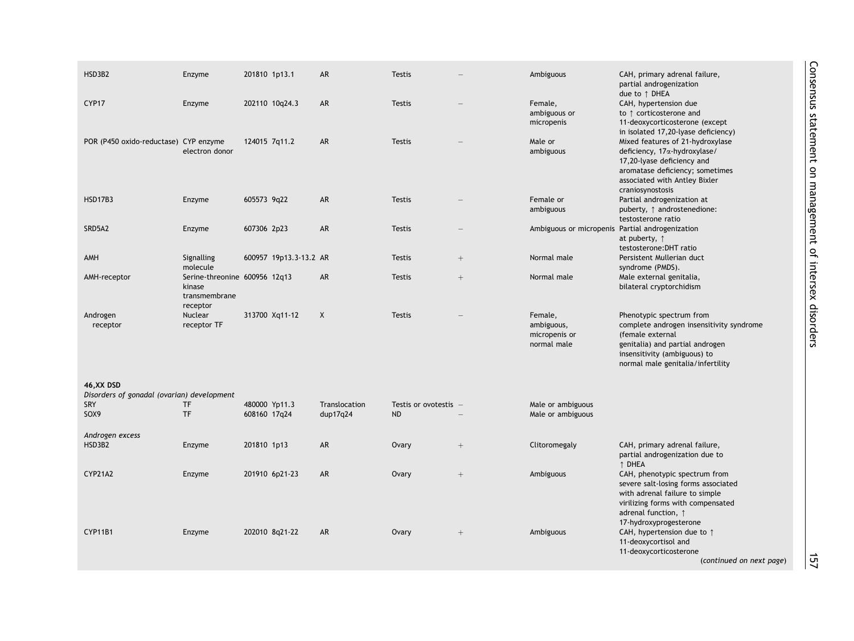| HSD3B2                                     | Enzyme                                  | 201810 1p13.1 |                        | AR                        | <b>Testis</b>                        |                  | Ambiguous                                       | CAH, primary adrenal failure,                                         |
|--------------------------------------------|-----------------------------------------|---------------|------------------------|---------------------------|--------------------------------------|------------------|-------------------------------------------------|-----------------------------------------------------------------------|
|                                            |                                         |               |                        |                           |                                      |                  |                                                 | partial androgenization<br>due to ↑ DHEA                              |
| CYP17                                      | Enzyme                                  |               | 202110 10q24.3         | AR                        | <b>Testis</b>                        |                  | Female,<br>ambiguous or                         | CAH, hypertension due<br>to $\uparrow$ corticosterone and             |
|                                            |                                         |               |                        |                           |                                      |                  | micropenis                                      | 11-deoxycorticosterone (except<br>in isolated 17,20-lyase deficiency) |
| POR (P450 oxido-reductase) CYP enzyme      |                                         |               | 124015 7q11.2          | AR                        | Testis                               |                  | Male or                                         | Mixed features of 21-hydroxylase                                      |
|                                            | electron donor                          |               |                        |                           |                                      |                  | ambiguous                                       | deficiency, 17a-hydroxylase/<br>17,20-lyase deficiency and            |
|                                            |                                         |               |                        |                           |                                      |                  |                                                 | aromatase deficiency; sometimes                                       |
|                                            |                                         |               |                        |                           |                                      |                  |                                                 | associated with Antley Bixler<br>craniosynostosis                     |
| <b>HSD17B3</b>                             | Enzyme                                  | 605573 9q22   |                        | AR                        | <b>Testis</b>                        |                  | Female or                                       | Partial androgenization at                                            |
|                                            |                                         |               |                        |                           |                                      |                  | ambiguous                                       | puberty, ↑ androstenedione:                                           |
| SRD5A2                                     | Enzyme                                  | 607306 2p23   |                        | AR                        | <b>Testis</b>                        |                  | Ambiguous or micropenis Partial androgenization | testosterone ratio                                                    |
|                                            |                                         |               |                        |                           |                                      |                  |                                                 | at puberty, $\uparrow$                                                |
|                                            |                                         |               |                        |                           |                                      |                  |                                                 | testosterone: DHT ratio                                               |
| AMH                                        | Signalling<br>molecule                  |               | 600957 19p13.3-13.2 AR |                           | <b>Testis</b>                        | $^{+}$           | Normal male                                     | Persistent Mullerian duct<br>syndrome (PMDS).                         |
| AMH-receptor                               | Serine-threonine 600956 12q13<br>kinase |               |                        | AR                        | <b>Testis</b>                        | $\! + \!\!\!\!$  | Normal male                                     | Male external genitalia,<br>bilateral cryptorchidism                  |
|                                            | transmembrane                           |               |                        |                           |                                      |                  |                                                 |                                                                       |
|                                            | receptor                                |               |                        |                           |                                      |                  |                                                 |                                                                       |
| Androgen                                   | Nuclear                                 |               | 313700 Xq11-12         | X                         | <b>Testis</b>                        |                  | Female,                                         | Phenotypic spectrum from                                              |
| receptor                                   | receptor TF                             |               |                        |                           |                                      |                  | ambiguous,<br>micropenis or                     | complete androgen insensitivity syndrome<br>(female external          |
|                                            |                                         |               |                        |                           |                                      |                  | normal male                                     | genitalia) and partial androgen                                       |
|                                            |                                         |               |                        |                           |                                      |                  |                                                 | insensitivity (ambiguous) to                                          |
|                                            |                                         |               |                        |                           |                                      |                  |                                                 | normal male genitalia/infertility                                     |
| 46, XX DSD                                 |                                         |               |                        |                           |                                      |                  |                                                 |                                                                       |
| Disorders of gonadal (ovarian) development |                                         |               |                        |                           |                                      |                  |                                                 |                                                                       |
| <b>SRY</b><br>SOX9                         | <b>TF</b><br><b>TF</b>                  | 608160 17q24  | 480000 Yp11.3          | Translocation<br>dup17q24 | Testis or ovotestis $-$<br><b>ND</b> |                  | Male or ambiguous<br>Male or ambiguous          |                                                                       |
|                                            |                                         |               |                        |                           |                                      |                  |                                                 |                                                                       |
| Androgen excess                            |                                         |               |                        |                           |                                      |                  |                                                 |                                                                       |
| HSD3B2                                     | Enzyme                                  | 201810 1p13   |                        | AR                        | Ovary                                | $\! + \!\!\!\!$  | Clitoromegaly                                   | CAH, primary adrenal failure,                                         |
|                                            |                                         |               |                        |                           |                                      |                  |                                                 | partial androgenization due to<br>↑ DHEA                              |
| CYP21A2                                    | Enzyme                                  |               | 201910 6p21-23         | <b>AR</b>                 | Ovary                                | $^{+}$           | Ambiguous                                       | CAH, phenotypic spectrum from                                         |
|                                            |                                         |               |                        |                           |                                      |                  |                                                 | severe salt-losing forms associated                                   |
|                                            |                                         |               |                        |                           |                                      |                  |                                                 | with adrenal failure to simple                                        |
|                                            |                                         |               |                        |                           |                                      |                  |                                                 | virilizing forms with compensated<br>adrenal function, 1              |
|                                            |                                         |               |                        |                           |                                      |                  |                                                 | 17-hydroxyprogesterone                                                |
| <b>CYP11B1</b>                             | Enzyme                                  |               | 202010 8q21-22         | AR                        | Ovary                                | $\boldsymbol{+}$ | Ambiguous                                       | CAH, hypertension due to $\uparrow$                                   |
|                                            |                                         |               |                        |                           |                                      |                  |                                                 | 11-deoxycortisol and                                                  |
|                                            |                                         |               |                        |                           |                                      |                  |                                                 | 11-deoxycorticosterone<br>(continued on next page)                    |
|                                            |                                         |               |                        |                           |                                      |                  |                                                 |                                                                       |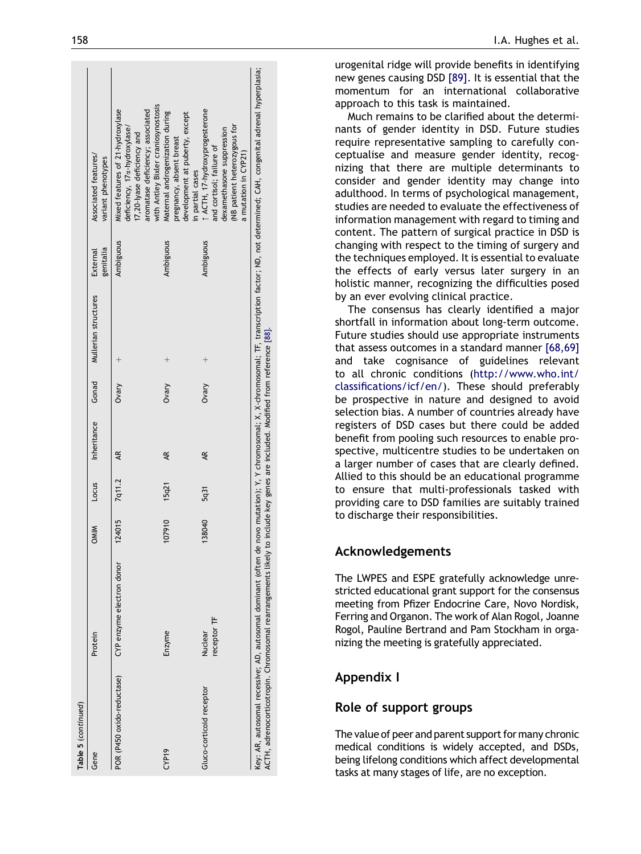| Table 5 (continued)        |                                                                |             |        |                                                                 |              |                          |                       |                                                                                                                                                                                                       |
|----------------------------|----------------------------------------------------------------|-------------|--------|-----------------------------------------------------------------|--------------|--------------------------|-----------------------|-------------------------------------------------------------------------------------------------------------------------------------------------------------------------------------------------------|
| Gene                       | Protein                                                        | <b>OMIM</b> | Locus  | Inheritance                                                     | Gonad        | Mullerian structures     | genitalia<br>External | Associated features,<br>variant phenotypes                                                                                                                                                            |
| POR (P450 oxido-reductase) | CYP enzyme electron donor                                      | 124015      | 7q11.2 | AR                                                              | Ovary        |                          | Ambiguous             | with Antley Bixler craniosynostosis<br>Mixed features of 21-hydroxylase<br>aromatase deficiency; associated<br>deficiency, 17 a-hydroxylase/<br>17,20-lyase deficiency and                            |
| CYP <sub>19</sub>          | Enzyme                                                         | 107910      | 15q21  | AR                                                              | <b>Ovary</b> | $\overline{\phantom{a}}$ | Ambiguous             | Maternal androgenization during<br>development at puberty, except<br>pregnancy, absent breast<br>in partial cases                                                                                     |
| Gluco-corticoid receptor   | receptor TF<br>Nuclear                                         | 138040      | 5q31   | AR                                                              | <b>Ovary</b> | $^{+}$                   | Ambiguous             | ↑ ACTH, 17-hydroxyprogesterone<br>(NB patient heterozygous for<br>dexamethasone suppression<br>and cortisol; failure of<br>a mutation in CYP21)                                                       |
|                            | ACTH, adrenocorticotropin. Chromosomal rearrangements likely t |             |        | o include key genes are included. Modified from reference [88]. |              |                          |                       | Key: AR, autosomal recessive; AD, autosomal dominant (often de novo mutation); Y, Y chromosomal; X, X-chromosomal; TF, transcription factor; ND, not determined; CAH, congenital adrenal hyperplasia; |

urogenital ridge will provide benefits in identifying new genes causing DSD [\[89\]](#page-14-0). It is essential that the momentum for an international collaborative approach to this task is maintained.

Much remains to be clarified about the determinants of gender identity in DSD. Future studies require representative sampling to carefully conceptualise and measure gender identity, recognizing that there are multiple determinants to consider and gender identity may change into adulthood. In terms of psychological management, studies are needed to evaluate the effectiveness of information management with regard to timing and content. The pattern of surgical practice in DSD is changing with respect to the timing of surgery and the techniques employed. It is essential to evaluate the effects of early versus later surgery in an holistic manner, recognizing the difficulties posed by an ever evolving clinical practice.

The consensus has clearly identified a major shortfall in information about long-term outcome. Future studies should use appropriate instruments that assess outcomes in a standard manner [\[68,69\]](#page-13-0) and take cognisance of guidelines relevant to all chronic conditions [\(http://www.who.int/](http://www.who.int/classifications/icf/en/) [classifications/icf/en/\)](http://www.who.int/classifications/icf/en/). These should preferably be prospective in nature and designed to avoid selection bias. A number of countries already have registers of DSD cases but there could be added benefit from pooling such resources to enable prospective, multicentre studies to be undertaken on a larger number of cases that are clearly defined. Allied to this should be an educational programme to ensure that multi-professionals tasked with providing care to DSD families are suitably trained to discharge their responsibilities.

# Acknowledgements

The LWPES and ESPE gratefully acknowledge unrestricted educational grant support for the consensus meeting from Pfizer Endocrine Care, Novo Nordisk, Ferring and Organon. The work of Alan Rogol, Joanne Rogol, Pauline Bertrand and Pam Stockham in organizing the meeting is gratefully appreciated.

# Appendix I

# Role of support groups

The value of peer and parent support for many chronic medical conditions is widely accepted, and DSDs, being lifelong conditions which affect developmental tasks at many stages of life, are no exception.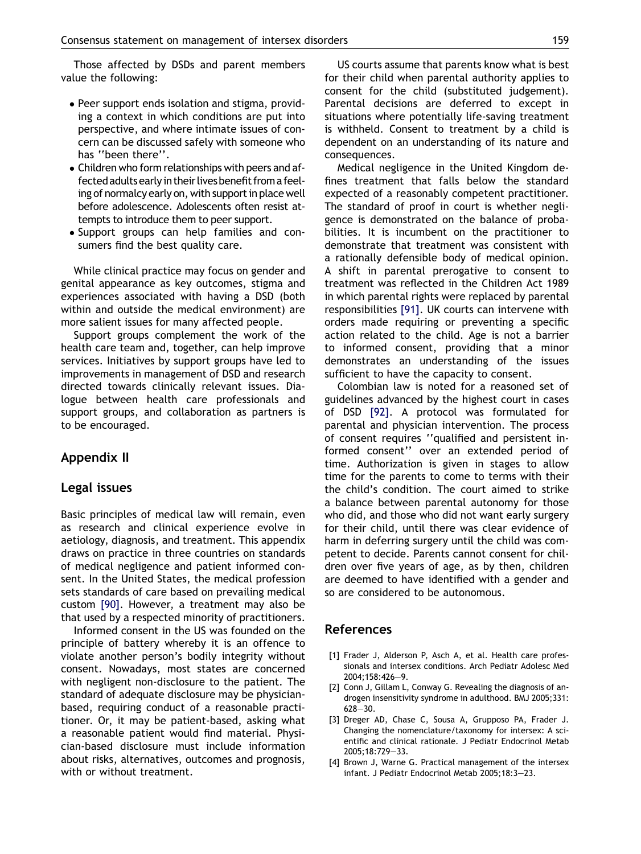<span id="page-11-0"></span>Those affected by DSDs and parent members value the following:

- Peer support ends isolation and stigma, providing a context in which conditions are put into perspective, and where intimate issues of concern can be discussed safely with someone who has ''been there''.
- Children who form relationships with peers and affected adults early in their lives benefit from a feeling of normalcy early on, with support in place well before adolescence. Adolescents often resist attempts to introduce them to peer support.
- Support groups can help families and consumers find the best quality care.

While clinical practice may focus on gender and genital appearance as key outcomes, stigma and experiences associated with having a DSD (both within and outside the medical environment) are more salient issues for many affected people.

Support groups complement the work of the health care team and, together, can help improve services. Initiatives by support groups have led to improvements in management of DSD and research directed towards clinically relevant issues. Dialogue between health care professionals and support groups, and collaboration as partners is to be encouraged.

# Appendix II

# Legal issues

Basic principles of medical law will remain, even as research and clinical experience evolve in aetiology, diagnosis, and treatment. This appendix draws on practice in three countries on standards of medical negligence and patient informed consent. In the United States, the medical profession sets standards of care based on prevailing medical custom [\[90\]](#page-14-0). However, a treatment may also be that used by a respected minority of practitioners.

Informed consent in the US was founded on the principle of battery whereby it is an offence to violate another person's bodily integrity without consent. Nowadays, most states are concerned with negligent non-disclosure to the patient. The standard of adequate disclosure may be physicianbased, requiring conduct of a reasonable practitioner. Or, it may be patient-based, asking what a reasonable patient would find material. Physician-based disclosure must include information about risks, alternatives, outcomes and prognosis, with or without treatment.

US courts assume that parents know what is best for their child when parental authority applies to consent for the child (substituted judgement). Parental decisions are deferred to except in situations where potentially life-saving treatment is withheld. Consent to treatment by a child is dependent on an understanding of its nature and consequences.

Medical negligence in the United Kingdom defines treatment that falls below the standard expected of a reasonably competent practitioner. The standard of proof in court is whether negligence is demonstrated on the balance of probabilities. It is incumbent on the practitioner to demonstrate that treatment was consistent with a rationally defensible body of medical opinion. A shift in parental prerogative to consent to treatment was reflected in the Children Act 1989 in which parental rights were replaced by parental responsibilities [\[91\]](#page-14-0). UK courts can intervene with orders made requiring or preventing a specific action related to the child. Age is not a barrier to informed consent, providing that a minor demonstrates an understanding of the issues sufficient to have the capacity to consent.

Colombian law is noted for a reasoned set of guidelines advanced by the highest court in cases of DSD [\[92\].](#page-14-0) A protocol was formulated for parental and physician intervention. The process of consent requires ''qualified and persistent informed consent'' over an extended period of time. Authorization is given in stages to allow time for the parents to come to terms with their the child's condition. The court aimed to strike a balance between parental autonomy for those who did, and those who did not want early surgery for their child, until there was clear evidence of harm in deferring surgery until the child was competent to decide. Parents cannot consent for children over five years of age, as by then, children are deemed to have identified with a gender and so are considered to be autonomous.

# References

- [1] Frader J, Alderson P, Asch A, et al. Health care professionals and intersex conditions. Arch Pediatr Adolesc Med 2004;158:426-9.
- [2] Conn J, Gillam L, Conway G. Revealing the diagnosis of androgen insensitivity syndrome in adulthood. BMJ 2005;331:  $628 - 30.$
- [3] Dreger AD, Chase C, Sousa A, Grupposo PA, Frader J. Changing the nomenclature/taxonomy for intersex: A scientific and clinical rationale. J Pediatr Endocrinol Metab 2005;18:729-33.
- [4] Brown J, Warne G. Practical management of the intersex infant. J Pediatr Endocrinol Metab 2005;18:3-23.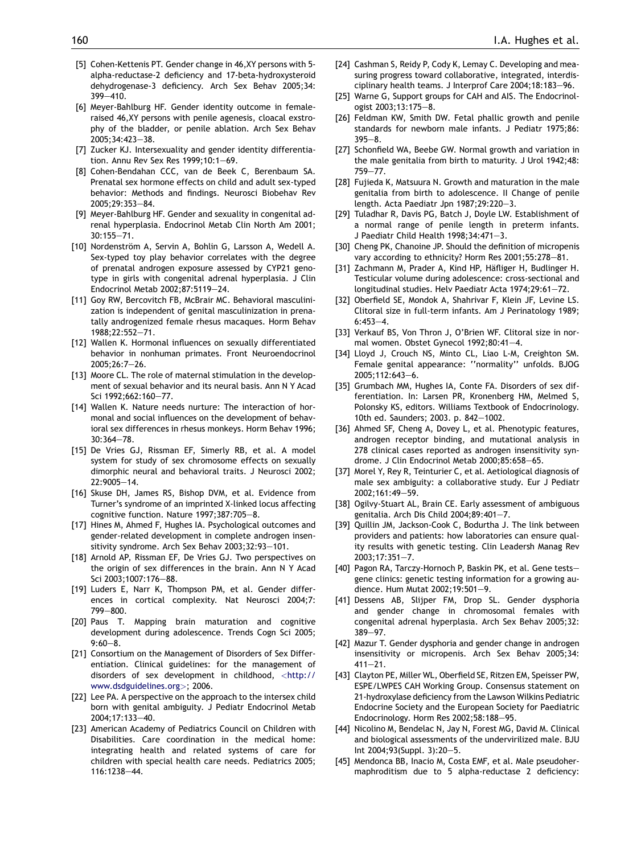- <span id="page-12-0"></span>[5] Cohen-Kettenis PT. Gender change in 46,XY persons with 5 alpha-reductase-2 deficiency and 17-beta-hydroxysteroid dehydrogenase-3 deficiency. Arch Sex Behav 2005;34: 399-410.
- [6] Meyer-Bahlburg HF. Gender identity outcome in femaleraised 46,XY persons with penile agenesis, cloacal exstrophy of the bladder, or penile ablation. Arch Sex Behav 2005;34:423-38.
- [7] Zucker KJ. Intersexuality and gender identity differentiation. Annu Rev Sex Res 1999;10:1-69.
- [8] Cohen-Bendahan CCC, van de Beek C, Berenbaum SA. Prenatal sex hormone effects on child and adult sex-typed behavior: Methods and findings. Neurosci Biobehav Rev 2005;29:353-84.
- [9] Meyer-Bahlburg HF. Gender and sexuality in congenital adrenal hyperplasia. Endocrinol Metab Clin North Am 2001; 30:155-71.
- [10] Nordenström A, Servin A, Bohlin G, Larsson A, Wedell A. Sex-typed toy play behavior correlates with the degree of prenatal androgen exposure assessed by CYP21 genotype in girls with congenital adrenal hyperplasia. J Clin Endocrinol Metab 2002;87:5119-24.
- [11] Goy RW, Bercovitch FB, McBrair MC. Behavioral masculinization is independent of genital masculinization in prenatally androgenized female rhesus macaques. Horm Behav 1988;22:552-71.
- [12] Wallen K. Hormonal influences on sexually differentiated behavior in nonhuman primates. Front Neuroendocrinol 2005;26:7-26.
- [13] Moore CL. The role of maternal stimulation in the development of sexual behavior and its neural basis. Ann N Y Acad Sci  $1992:662:160 - 77$ .
- [14] Wallen K. Nature needs nurture: The interaction of hormonal and social influences on the development of behavioral sex differences in rhesus monkeys. Horm Behav 1996;  $30:364 - 78$ .
- [15] De Vries GJ, Rissman EF, Simerly RB, et al. A model system for study of sex chromosome effects on sexually dimorphic neural and behavioral traits. J Neurosci 2002; 22:9005-14.
- [16] Skuse DH, James RS, Bishop DVM, et al. Evidence from Turner's syndrome of an imprinted X-linked locus affecting cognitive function. Nature 1997;387:705-8.
- [17] Hines M, Ahmed F, Hughes IA. Psychological outcomes and gender-related development in complete androgen insensitivity syndrome. Arch Sex Behav 2003;32:93-101.
- [18] Arnold AP, Rissman EF, De Vries GJ. Two perspectives on the origin of sex differences in the brain. Ann N Y Acad Sci 2003;1007:176-88.
- [19] Luders E, Narr K, Thompson PM, et al. Gender differences in cortical complexity. Nat Neurosci 2004;7: 799-800.
- [20] Paus T. Mapping brain maturation and cognitive development during adolescence. Trends Cogn Sci 2005;  $9:60 - 8.$
- [21] Consortium on the Management of Disorders of Sex Differentiation. Clinical guidelines: for the management of disorders of sex development in childhood, <[http://](http://www.dsdguidelines.org) [www.dsdguidelines.org](http://www.dsdguidelines.org)>; 2006.
- [22] Lee PA. A perspective on the approach to the intersex child born with genital ambiguity. J Pediatr Endocrinol Metab 2004;17:133-40.
- [23] American Academy of Pediatrics Council on Children with Disabilities. Care coordination in the medical home: integrating health and related systems of care for children with special health care needs. Pediatrics 2005; 116:1238-44.
- [24] Cashman S, Reidy P, Cody K, Lemay C. Developing and measuring progress toward collaborative, integrated, interdisciplinary health teams. J Interprof Care 2004;18:183-96.
- [25] Warne G, Support groups for CAH and AIS. The Endocrinologist 2003;13:175-8.
- [26] Feldman KW, Smith DW. Fetal phallic growth and penile standards for newborn male infants. J Pediatr 1975;86:  $395 - 8.$
- [27] Schonfield WA, Beebe GW. Normal growth and variation in the male genitalia from birth to maturity. J Urol 1942;48: 759-77.
- [28] Fujieda K, Matsuura N. Growth and maturation in the male genitalia from birth to adolescence. II Change of penile length. Acta Paediatr Jpn 1987;29:220-3.
- [29] Tuladhar R, Davis PG, Batch J, Doyle LW. Establishment of a normal range of penile length in preterm infants. J Paediatr Child Health  $1998;34:471-3$ .
- [30] Cheng PK, Chanoine JP. Should the definition of micropenis vary according to ethnicity? Horm Res  $2001;55:278-81$ .
- [31] Zachmann M, Prader A, Kind HP, Häfliger H, Budlinger H. Testicular volume during adolescence: cross-sectional and longitudinal studies. Helv Paediatr Acta 1974;29:61-72.
- [32] Oberfield SE, Mondok A, Shahrivar F, Klein JF, Levine LS. Clitoral size in full-term infants. Am J Perinatology 1989;  $6:453-4.$
- [33] Verkauf BS, Von Thron J, O'Brien WF. Clitoral size in normal women. Obstet Gynecol 1992;80:41-4.
- [34] Lloyd J, Crouch NS, Minto CL, Liao L-M, Creighton SM. Female genital appearance: ''normality'' unfolds. BJOG 2005;112:643-6.
- [35] Grumbach MM, Hughes IA, Conte FA. Disorders of sex differentiation. In: Larsen PR, Kronenberg HM, Melmed S, Polonsky KS, editors. Williams Textbook of Endocrinology. 10th ed. Saunders; 2003. p. 842-1002.
- [36] Ahmed SF, Cheng A, Dovey L, et al. Phenotypic features, androgen receptor binding, and mutational analysis in 278 clinical cases reported as androgen insensitivity syndrome. J Clin Endocrinol Metab 2000;85:658-65.
- [37] Morel Y, Rey R, Teinturier C, et al. Aetiological diagnosis of male sex ambiguity: a collaborative study. Eur J Pediatr 2002:161:49-59.
- [38] Ogilvy-Stuart AL, Brain CE. Early assessment of ambiguous genitalia. Arch Dis Child  $2004;89:401-7$ .
- [39] Quillin JM, Jackson-Cook C, Bodurtha J. The link between providers and patients: how laboratories can ensure quality results with genetic testing. Clin Leadersh Manag Rev 2003;17:351-7.
- [40] Pagon RA, Tarczy-Hornoch P, Baskin PK, et al. Gene testsgene clinics: genetic testing information for a growing audience. Hum Mutat 2002;19:501-9.
- [41] Dessens AB, Slijper FM, Drop SL. Gender dysphoria and gender change in chromosomal females with congenital adrenal hyperplasia. Arch Sex Behav 2005;32:  $389 - 97.$
- [42] Mazur T. Gender dysphoria and gender change in androgen insensitivity or micropenis. Arch Sex Behav 2005;34:  $411 - 21$ .
- [43] Clayton PE, Miller WL, Oberfield SE, Ritzen EM, Speisser PW, ESPE/LWPES CAH Working Group. Consensus statement on 21-hydroxylase deficiency from the Lawson Wilkins Pediatric Endocrine Society and the European Society for Paediatric Endocrinology. Horm Res 2002;58:188-95.
- [44] Nicolino M, Bendelac N, Jay N, Forest MG, David M. Clinical and biological assessments of the undervirilized male. BJU Int 2004;93(Suppl. 3):20-5.
- [45] Mendonca BB, Inacio M, Costa EMF, et al. Male pseudohermaphroditism due to 5 alpha-reductase 2 deficiency: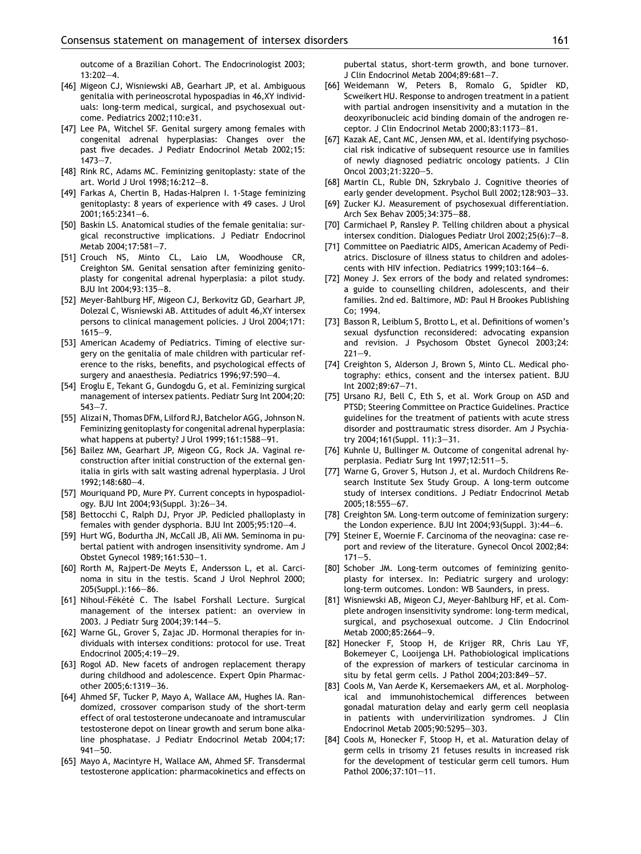<span id="page-13-0"></span>outcome of a Brazilian Cohort. The Endocrinologist 2003;  $13:202 - 4$ 

- [46] Migeon CJ, Wisniewski AB, Gearhart JP, et al. Ambiguous genitalia with perineoscrotal hypospadias in 46,XY individuals: long-term medical, surgical, and psychosexual outcome. Pediatrics 2002;110:e31.
- [47] Lee PA, Witchel SF. Genital surgery among females with congenital adrenal hyperplasias: Changes over the past five decades. J Pediatr Endocrinol Metab 2002;15:  $1473 - 7$
- [48] Rink RC, Adams MC. Feminizing genitoplasty: state of the art. World J Urol 1998;16:212-8.
- [49] Farkas A, Chertin B, Hadas-Halpren I. 1-Stage feminizing genitoplasty: 8 years of experience with 49 cases. J Urol 2001;165:2341-6.
- [50] Baskin LS. Anatomical studies of the female genitalia: surgical reconstructive implications. J Pediatr Endocrinol Metab 2004;17:581-7.
- [51] Crouch NS, Minto CL, Laio LM, Woodhouse CR, Creighton SM. Genital sensation after feminizing genitoplasty for congenital adrenal hyperplasia: a pilot study. BJU Int 2004;93:135-8.
- [52] Meyer-Bahlburg HF, Migeon CJ, Berkovitz GD, Gearhart JP, Dolezal C, Wisniewski AB. Attitudes of adult 46,XY intersex persons to clinical management policies. J Urol 2004;171:  $1615 - 9.$
- [53] American Academy of Pediatrics. Timing of elective surgery on the genitalia of male children with particular reference to the risks, benefits, and psychological effects of surgery and anaesthesia. Pediatrics 1996;97:590-4.
- [54] Eroglu E, Tekant G, Gundogdu G, et al. Feminizing surgical management of intersex patients. Pediatr Surg Int 2004;20:  $543 - 7$ .
- [55] Alizai N, Thomas DFM, Lilford RJ, Batchelor AGG, Johnson N. Feminizing genitoplasty for congenital adrenal hyperplasia: what happens at puberty? J Urol 1999;161:1588-91.
- [56] Bailez MM, Gearhart JP, Migeon CG, Rock JA. Vaginal reconstruction after initial construction of the external genitalia in girls with salt wasting adrenal hyperplasia. J Urol 1992:148:680-4.
- [57] Mouriquand PD, Mure PY. Current concepts in hypospadiology. BJU Int 2004;93(Suppl. 3):26-34.
- [58] Bettocchi C, Ralph DJ, Pryor JP. Pedicled phalloplasty in females with gender dysphoria. BJU Int 2005;95:120-4.
- [59] Hurt WG, Bodurtha JN, McCall JB, Ali MM. Seminoma in pubertal patient with androgen insensitivity syndrome. Am J Obstet Gynecol 1989;161:530-1.
- [60] Rorth M, Rajpert-De Meyts E, Andersson L, et al. Carcinoma in situ in the testis. Scand J Urol Nephrol 2000;  $205$ (Suppl.):  $166 - 86$ .
- [61] Nihoul-Fékété C. The Isabel Forshall Lecture. Surgical management of the intersex patient: an overview in 2003. J Pediatr Surg 2004;39:144-5.
- [62] Warne GL, Grover S, Zajac JD. Hormonal therapies for individuals with intersex conditions: protocol for use. Treat Endocrinol 2005;4:19-29.
- [63] Rogol AD. New facets of androgen replacement therapy during childhood and adolescence. Expert Opin Pharmacother 2005;6:1319-36.
- [64] Ahmed SF, Tucker P, Mayo A, Wallace AM, Hughes IA. Randomized, crossover comparison study of the short-term effect of oral testosterone undecanoate and intramuscular testosterone depot on linear growth and serum bone alkaline phosphatase. J Pediatr Endocrinol Metab 2004;17:  $941 - 50.$
- [65] Mayo A, Macintyre H, Wallace AM, Ahmed SF. Transdermal testosterone application: pharmacokinetics and effects on

pubertal status, short-term growth, and bone turnover. J Clin Endocrinol Metab 2004;89:681-7.

- [66] Weidemann W, Peters B, Romalo G, Spidler KD, Scweikert HU. Response to androgen treatment in a patient with partial androgen insensitivity and a mutation in the deoxyribonucleic acid binding domain of the androgen receptor. J Clin Endocrinol Metab 2000;83:1173-81.
- [67] Kazak AE, Cant MC, Jensen MM, et al. Identifying psychosocial risk indicative of subsequent resource use in families of newly diagnosed pediatric oncology patients. J Clin Oncol 2003:21:3220-5.
- [68] Martin CL, Ruble DN, Szkrybalo J. Cognitive theories of early gender development. Psychol Bull 2002;128:903-33.
- [69] Zucker KJ. Measurement of psychosexual differentiation. Arch Sex Behav 2005;34:375-88.
- [70] Carmichael P, Ransley P. Telling children about a physical intersex condition. Dialogues Pediatr Urol 2002;25(6):7-8.
- [71] Committee on Paediatric AIDS, American Academy of Pediatrics. Disclosure of illness status to children and adolescents with HIV infection. Pediatrics 1999;103:164-6.
- [72] Money J. Sex errors of the body and related syndromes: a guide to counselling children, adolescents, and their families. 2nd ed. Baltimore, MD: Paul H Brookes Publishing Co; 1994.
- [73] Basson R, Leiblum S, Brotto L, et al. Definitions of women's sexual dysfunction reconsidered: advocating expansion and revision. J Psychosom Obstet Gynecol 2003;24:  $221 - 9$ .
- [74] Creighton S, Alderson J, Brown S, Minto CL. Medical photography: ethics, consent and the intersex patient. BJU Int 2002;89:67-71.
- [75] Ursano RJ, Bell C, Eth S, et al. Work Group on ASD and PTSD; Steering Committee on Practice Guidelines. Practice guidelines for the treatment of patients with acute stress disorder and posttraumatic stress disorder. Am J Psychiatry 2004;161(Suppl. 11):3-31.
- [76] Kuhnle U, Bullinger M. Outcome of congenital adrenal hyperplasia. Pediatr Surg Int 1997;12:511-5.
- [77] Warne G, Grover S, Hutson J, et al. Murdoch Childrens Research Institute Sex Study Group. A long-term outcome study of intersex conditions. J Pediatr Endocrinol Metab 2005;18:555e67.
- [78] Creighton SM. Long-term outcome of feminization surgery: the London experience. BJU Int  $2004;93$ (Suppl. 3):44-6.
- [79] Steiner E, Woernie F. Carcinoma of the neovagina: case report and review of the literature. Gynecol Oncol 2002;84:  $171 - 5.$
- [80] Schober JM. Long-term outcomes of feminizing genitoplasty for intersex. In: Pediatric surgery and urology: long-term outcomes. London: WB Saunders, in press.
- [81] Wisniewski AB, Migeon CJ, Meyer-Bahlburg HF, et al. Complete androgen insensitivity syndrome: long-term medical, surgical, and psychosexual outcome. J Clin Endocrinol Metab 2000;85:2664-9.
- [82] Honecker F, Stoop H, de Krijger RR, Chris Lau YF, Bokemeyer C, Looijenga LH. Pathobiological implications of the expression of markers of testicular carcinoma in situ by fetal germ cells. J Pathol  $2004;203:849-57$ .
- [83] Cools M, Van Aerde K, Kersemaekers AM, et al. Morphological and immunohistochemical differences between gonadal maturation delay and early germ cell neoplasia in patients with undervirilization syndromes. J Clin Endocrinol Metab 2005:90:5295-303.
- [84] Cools M, Honecker F, Stoop H, et al. Maturation delay of germ cells in trisomy 21 fetuses results in increased risk for the development of testicular germ cell tumors. Hum Pathol 2006;37:101-11.